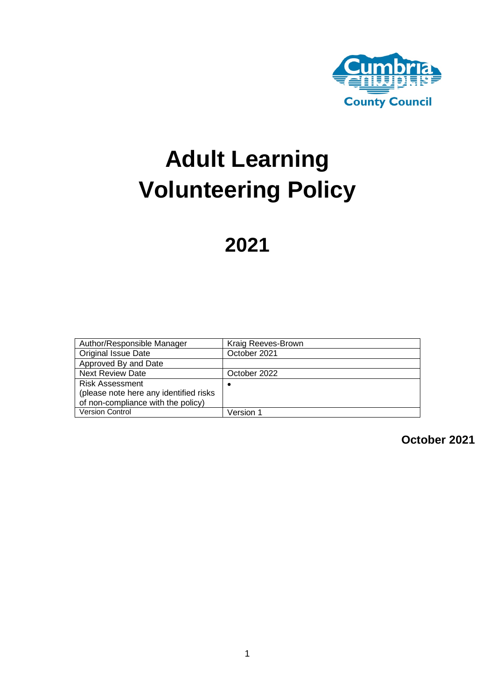

# **Adult Learning Volunteering Policy**

# **2021**

| Author/Responsible Manager              | Kraig Reeves-Brown |
|-----------------------------------------|--------------------|
| <b>Original Issue Date</b>              | October 2021       |
| Approved By and Date                    |                    |
| <b>Next Review Date</b>                 | October 2022       |
| <b>Risk Assessment</b>                  | ٠                  |
| (please note here any identified risks) |                    |
| of non-compliance with the policy)      |                    |
| <b>Version Control</b>                  | Version 1          |

**October 2021**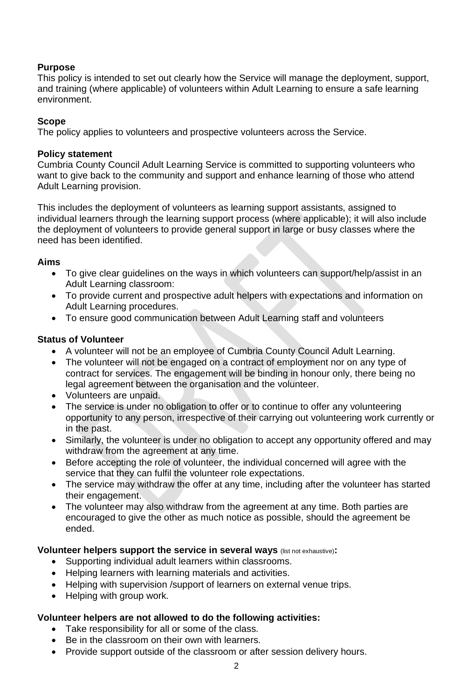### **Purpose**

This policy is intended to set out clearly how the Service will manage the deployment, support, and training (where applicable) of volunteers within Adult Learning to ensure a safe learning environment.

### **Scope**

The policy applies to volunteers and prospective volunteers across the Service.

### **Policy statement**

Cumbria County Council Adult Learning Service is committed to supporting volunteers who want to give back to the community and support and enhance learning of those who attend Adult Learning provision.

This includes the deployment of volunteers as learning support assistants, assigned to individual learners through the learning support process (where applicable); it will also include the deployment of volunteers to provide general support in large or busy classes where the need has been identified.

### **Aims**

- To give clear guidelines on the ways in which volunteers can support/help/assist in an Adult Learning classroom:
- To provide current and prospective adult helpers with expectations and information on Adult Learning procedures.
- To ensure good communication between Adult Learning staff and volunteers

#### **Status of Volunteer**

- A volunteer will not be an employee of Cumbria County Council Adult Learning.
- The volunteer will not be engaged on a contract of employment nor on any type of contract for services. The engagement will be binding in honour only, there being no legal agreement between the organisation and the volunteer.
- Volunteers are unpaid.
- The service is under no obligation to offer or to continue to offer any volunteering opportunity to any person, irrespective of their carrying out volunteering work currently or in the past.
- Similarly, the volunteer is under no obligation to accept any opportunity offered and may withdraw from the agreement at any time.
- Before accepting the role of volunteer, the individual concerned will agree with the service that they can fulfil the volunteer role expectations.
- The service may withdraw the offer at any time, including after the volunteer has started their engagement.
- The volunteer may also withdraw from the agreement at any time. Both parties are encouraged to give the other as much notice as possible, should the agreement be ended.

#### **Volunteer helpers support the service in several ways** (list not exhaustive)**:**

- Supporting individual adult learners within classrooms.
- Helping learners with learning materials and activities.
- Helping with supervision /support of learners on external venue trips.
- Helping with group work.

### **Volunteer helpers are not allowed to do the following activities:**

- Take responsibility for all or some of the class.
- Be in the classroom on their own with learners.
- Provide support outside of the classroom or after session delivery hours.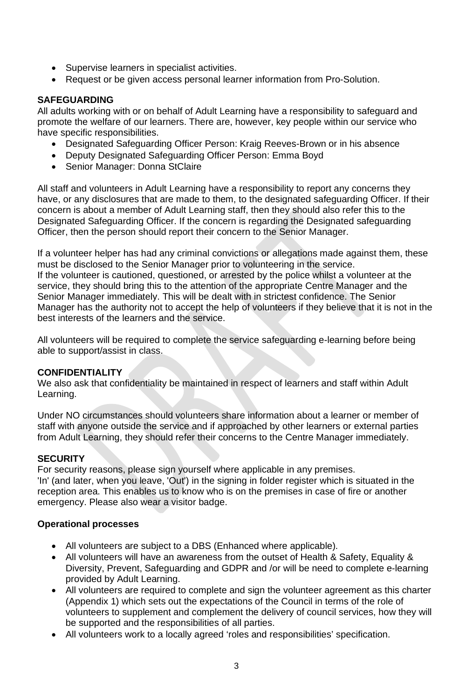- Supervise learners in specialist activities.
- Request or be given access personal learner information from Pro-Solution.

### **SAFEGUARDING**

All adults working with or on behalf of Adult Learning have a responsibility to safeguard and promote the welfare of our learners. There are, however, key people within our service who have specific responsibilities.

- Designated Safeguarding Officer Person: Kraig Reeves-Brown or in his absence
- Deputy Designated Safeguarding Officer Person: Emma Boyd
- Senior Manager: Donna StClaire

All staff and volunteers in Adult Learning have a responsibility to report any concerns they have, or any disclosures that are made to them, to the designated safeguarding Officer. If their concern is about a member of Adult Learning staff, then they should also refer this to the Designated Safeguarding Officer. If the concern is regarding the Designated safeguarding Officer, then the person should report their concern to the Senior Manager.

If a volunteer helper has had any criminal convictions or allegations made against them, these must be disclosed to the Senior Manager prior to volunteering in the service. If the volunteer is cautioned, questioned, or arrested by the police whilst a volunteer at the service, they should bring this to the attention of the appropriate Centre Manager and the Senior Manager immediately. This will be dealt with in strictest confidence. The Senior Manager has the authority not to accept the help of volunteers if they believe that it is not in the best interests of the learners and the service.

All volunteers will be required to complete the service safeguarding e-learning before being able to support/assist in class.

### **CONFIDENTIALITY**

We also ask that confidentiality be maintained in respect of learners and staff within Adult Learning.

Under NO circumstances should volunteers share information about a learner or member of staff with anyone outside the service and if approached by other learners or external parties from Adult Learning, they should refer their concerns to the Centre Manager immediately.

### **SECURITY**

For security reasons, please sign yourself where applicable in any premises. 'In' (and later, when you leave, 'Out') in the signing in folder register which is situated in the reception area. This enables us to know who is on the premises in case of fire or another emergency. Please also wear a visitor badge.

### **Operational processes**

- All volunteers are subject to a DBS (Enhanced where applicable).
- All volunteers will have an awareness from the outset of Health & Safety, Equality & Diversity, Prevent, Safeguarding and GDPR and /or will be need to complete e-learning provided by Adult Learning.
- All volunteers are required to complete and sign the volunteer agreement as this charter (Appendix 1) which sets out the expectations of the Council in terms of the role of volunteers to supplement and complement the delivery of council services, how they will be supported and the responsibilities of all parties.
- All volunteers work to a locally agreed 'roles and responsibilities' specification.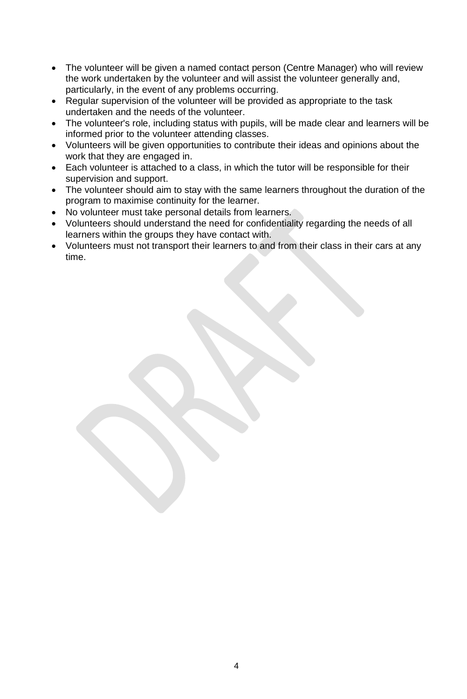- The volunteer will be given a named contact person (Centre Manager) who will review the work undertaken by the volunteer and will assist the volunteer generally and, particularly, in the event of any problems occurring.
- Regular supervision of the volunteer will be provided as appropriate to the task undertaken and the needs of the volunteer.
- The volunteer's role, including status with pupils, will be made clear and learners will be informed prior to the volunteer attending classes.
- Volunteers will be given opportunities to contribute their ideas and opinions about the work that they are engaged in.
- Each volunteer is attached to a class, in which the tutor will be responsible for their supervision and support.
- The volunteer should aim to stay with the same learners throughout the duration of the program to maximise continuity for the learner.
- No volunteer must take personal details from learners.
- Volunteers should understand the need for confidentiality regarding the needs of all learners within the groups they have contact with.
- Volunteers must not transport their learners to and from their class in their cars at any time.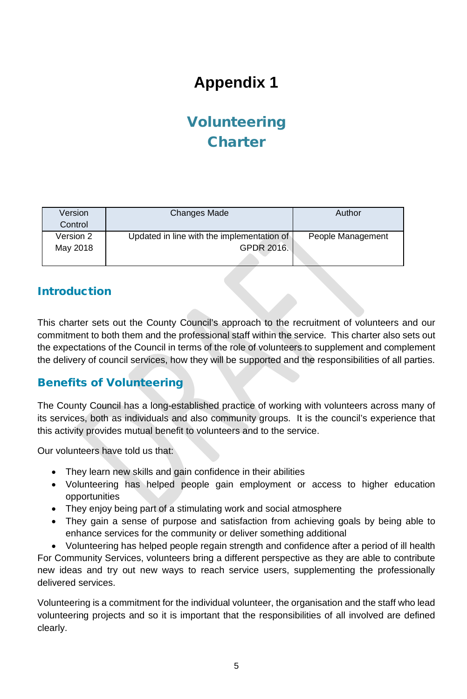# **Appendix 1**

# Volunteering **Charter**

| Version   | <b>Changes Made</b>                        | Author            |
|-----------|--------------------------------------------|-------------------|
| Control   |                                            |                   |
| Version 2 | Updated in line with the implementation of | People Management |
| May 2018  | GPDR 2016.                                 |                   |
|           |                                            |                   |

# Introduction

This charter sets out the County Council's approach to the recruitment of volunteers and our commitment to both them and the professional staff within the service. This charter also sets out the expectations of the Council in terms of the role of volunteers to supplement and complement the delivery of council services, how they will be supported and the responsibilities of all parties.

# Benefits of Volunteering

The County Council has a long-established practice of working with volunteers across many of its services, both as individuals and also community groups. It is the council's experience that this activity provides mutual benefit to volunteers and to the service.

Our volunteers have told us that:

- They learn new skills and gain confidence in their abilities
- Volunteering has helped people gain employment or access to higher education opportunities
- They enjoy being part of a stimulating work and social atmosphere
- They gain a sense of purpose and satisfaction from achieving goals by being able to enhance services for the community or deliver something additional

• Volunteering has helped people regain strength and confidence after a period of ill health For Community Services, volunteers bring a different perspective as they are able to contribute new ideas and try out new ways to reach service users, supplementing the professionally delivered services.

Volunteering is a commitment for the individual volunteer, the organisation and the staff who lead volunteering projects and so it is important that the responsibilities of all involved are defined clearly.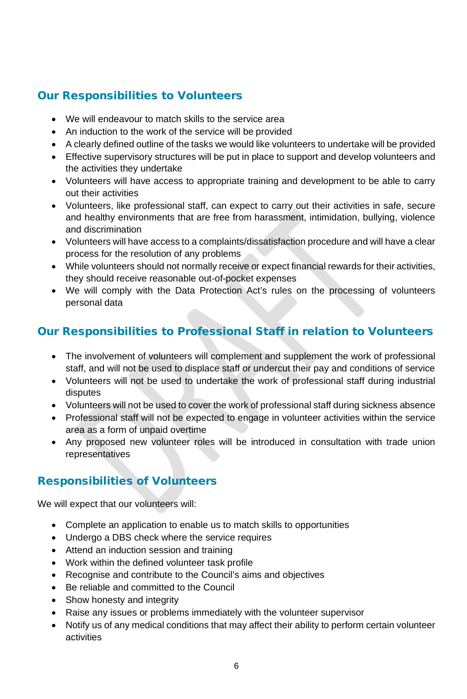# Our Responsibilities to Volunteers

- We will endeavour to match skills to the service area
- An induction to the work of the service will be provided
- A clearly defined outline of the tasks we would like volunteers to undertake will be provided
- Effective supervisory structures will be put in place to support and develop volunteers and the activities they undertake
- Volunteers will have access to appropriate training and development to be able to carry out their activities
- Volunteers, like professional staff, can expect to carry out their activities in safe, secure and healthy environments that are free from harassment, intimidation, bullying, violence and discrimination
- Volunteers will have access to a complaints/dissatisfaction procedure and will have a clear process for the resolution of any problems
- While volunteers should not normally receive or expect financial rewards for their activities, they should receive reasonable out-of-pocket expenses
- We will comply with the Data Protection Act's rules on the processing of volunteers personal data

# Our Responsibilities to Professional Staff in relation to Volunteers

- The involvement of volunteers will complement and supplement the work of professional staff, and will not be used to displace staff or undercut their pay and conditions of service
- Volunteers will not be used to undertake the work of professional staff during industrial disputes
- Volunteers will not be used to cover the work of professional staff during sickness absence
- Professional staff will not be expected to engage in volunteer activities within the service area as a form of unpaid overtime
- Any proposed new volunteer roles will be introduced in consultation with trade union representatives

# Responsibilities of Volunteers

We will expect that our volunteers will:

- Complete an application to enable us to match skills to opportunities
- Undergo a DBS check where the service requires
- Attend an induction session and training
- Work within the defined volunteer task profile
- Recognise and contribute to the Council's aims and objectives
- Be reliable and committed to the Council
- Show honesty and integrity
- Raise any issues or problems immediately with the volunteer supervisor
- Notify us of any medical conditions that may affect their ability to perform certain volunteer activities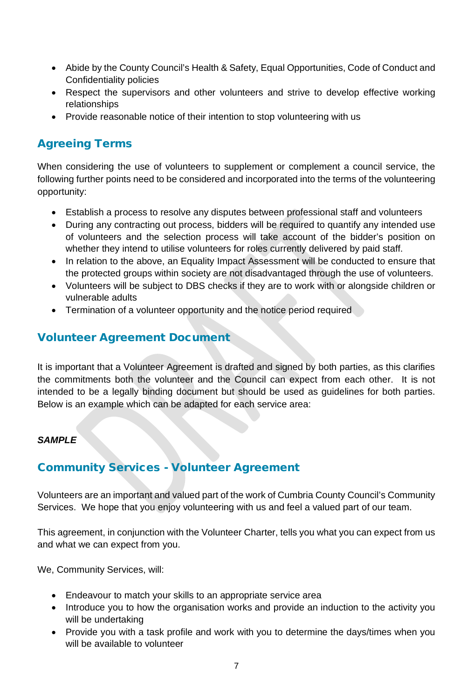- Abide by the County Council's Health & Safety, Equal Opportunities, Code of Conduct and Confidentiality policies
- Respect the supervisors and other volunteers and strive to develop effective working relationships
- Provide reasonable notice of their intention to stop volunteering with us

### Agreeing Terms

When considering the use of volunteers to supplement or complement a council service, the following further points need to be considered and incorporated into the terms of the volunteering opportunity:

- Establish a process to resolve any disputes between professional staff and volunteers
- During any contracting out process, bidders will be required to quantify any intended use of volunteers and the selection process will take account of the bidder's position on whether they intend to utilise volunteers for roles currently delivered by paid staff.
- In relation to the above, an Equality Impact Assessment will be conducted to ensure that the protected groups within society are not disadvantaged through the use of volunteers.
- Volunteers will be subject to DBS checks if they are to work with or alongside children or vulnerable adults
- Termination of a volunteer opportunity and the notice period required

### Volunteer Agreement Document

It is important that a Volunteer Agreement is drafted and signed by both parties, as this clarifies the commitments both the volunteer and the Council can expect from each other. It is not intended to be a legally binding document but should be used as guidelines for both parties. Below is an example which can be adapted for each service area:

### *SAMPLE*

### Community Services - Volunteer Agreement

Volunteers are an important and valued part of the work of Cumbria County Council's Community Services. We hope that you enjoy volunteering with us and feel a valued part of our team.

This agreement, in conjunction with the Volunteer Charter, tells you what you can expect from us and what we can expect from you.

We, Community Services, will:

- Endeavour to match your skills to an appropriate service area
- Introduce you to how the organisation works and provide an induction to the activity you will be undertaking
- Provide you with a task profile and work with you to determine the days/times when you will be available to volunteer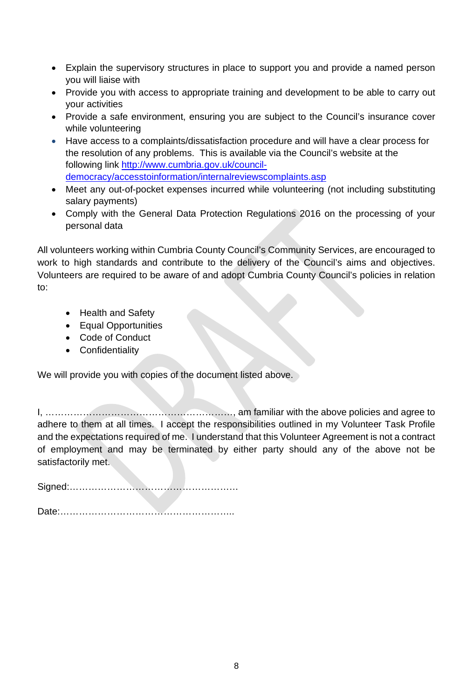- Explain the supervisory structures in place to support you and provide a named person you will liaise with
- Provide you with access to appropriate training and development to be able to carry out your activities
- Provide a safe environment, ensuring you are subject to the Council's insurance cover while volunteering
- Have access to a complaints/dissatisfaction procedure and will have a clear process for the resolution of any problems. This is available via the Council's website at the following link [http://www.cumbria.gov.uk/council](http://www.cumbria.gov.uk/council-democracy/accesstoinformation/internalreviewscomplaints.asp)[democracy/accesstoinformation/internalreviewscomplaints.asp](http://www.cumbria.gov.uk/council-democracy/accesstoinformation/internalreviewscomplaints.asp)
- Meet any out-of-pocket expenses incurred while volunteering (not including substituting salary payments)
- Comply with the General Data Protection Regulations 2016 on the processing of your personal data

All volunteers working within Cumbria County Council's Community Services, are encouraged to work to high standards and contribute to the delivery of the Council's aims and objectives. Volunteers are required to be aware of and adopt Cumbria County Council's policies in relation to:

- Health and Safety
- Equal Opportunities
- Code of Conduct
- Confidentiality

We will provide you with copies of the document listed above.

I, ……………………………………………………, am familiar with the above policies and agree to adhere to them at all times. I accept the responsibilities outlined in my Volunteer Task Profile and the expectations required of me. I understand that this Volunteer Agreement is not a contract of employment and may be terminated by either party should any of the above not be satisfactorily met.

Signed:………………………………………………

Date:………………………………………………..